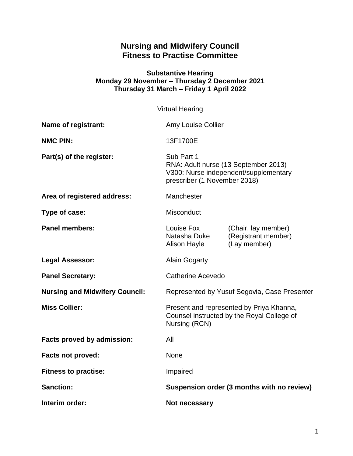# **Nursing and Midwifery Council Fitness to Practise Committee**

#### **Substantive Hearing Monday 29 November – Thursday 2 December 2021 Thursday 31 March – Friday 1 April 2022**

| <b>Virtual Hearing</b>                |                                                                                                                             |                                                            |
|---------------------------------------|-----------------------------------------------------------------------------------------------------------------------------|------------------------------------------------------------|
| <b>Name of registrant:</b>            | Amy Louise Collier                                                                                                          |                                                            |
| <b>NMC PIN:</b>                       | 13F1700E                                                                                                                    |                                                            |
| Part(s) of the register:              | Sub Part 1<br>RNA: Adult nurse (13 September 2013)<br>V300: Nurse independent/supplementary<br>prescriber (1 November 2018) |                                                            |
| Area of registered address:           | Manchester                                                                                                                  |                                                            |
| Type of case:                         | <b>Misconduct</b>                                                                                                           |                                                            |
| <b>Panel members:</b>                 | Louise Fox<br>Natasha Duke<br>Alison Hayle                                                                                  | (Chair, lay member)<br>(Registrant member)<br>(Lay member) |
| <b>Legal Assessor:</b>                | <b>Alain Gogarty</b>                                                                                                        |                                                            |
| <b>Panel Secretary:</b>               | Catherine Acevedo                                                                                                           |                                                            |
| <b>Nursing and Midwifery Council:</b> | Represented by Yusuf Segovia, Case Presenter                                                                                |                                                            |
| <b>Miss Collier:</b>                  | Present and represented by Priya Khanna,<br>Counsel instructed by the Royal College of<br>Nursing (RCN)                     |                                                            |
| Facts proved by admission:            | All                                                                                                                         |                                                            |
| <b>Facts not proved:</b>              | None                                                                                                                        |                                                            |
| <b>Fitness to practise:</b>           | Impaired                                                                                                                    |                                                            |
| <b>Sanction:</b>                      | Suspension order (3 months with no review)                                                                                  |                                                            |
| Interim order:                        | Not necessary                                                                                                               |                                                            |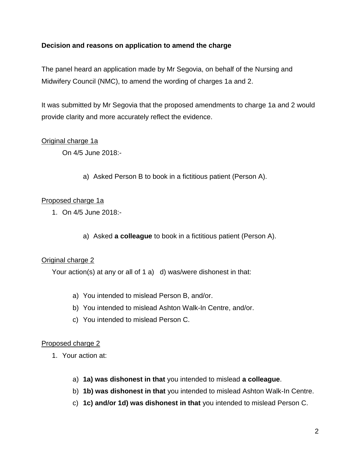### **Decision and reasons on application to amend the charge**

The panel heard an application made by Mr Segovia, on behalf of the Nursing and Midwifery Council (NMC), to amend the wording of charges 1a and 2.

It was submitted by Mr Segovia that the proposed amendments to charge 1a and 2 would provide clarity and more accurately reflect the evidence.

### Original charge 1a

On 4/5 June 2018:-

a) Asked Person B to book in a fictitious patient (Person A).

#### Proposed charge 1a

- 1. On 4/5 June 2018:
	- a) Asked **a colleague** to book in a fictitious patient (Person A).

#### Original charge 2

Your action(s) at any or all of 1 a) d) was/were dishonest in that:

- a) You intended to mislead Person B, and/or.
- b) You intended to mislead Ashton Walk-In Centre, and/or.
- c) You intended to mislead Person C.

#### Proposed charge 2

- 1. Your action at:
	- a) **1a) was dishonest in that** you intended to mislead **a colleague**.
	- b) **1b) was dishonest in that** you intended to mislead Ashton Walk-In Centre.
	- c) **1c) and/or 1d) was dishonest in that** you intended to mislead Person C.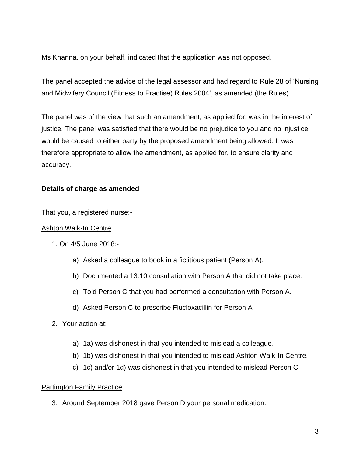Ms Khanna, on your behalf, indicated that the application was not opposed.

The panel accepted the advice of the legal assessor and had regard to Rule 28 of 'Nursing and Midwifery Council (Fitness to Practise) Rules 2004', as amended (the Rules).

The panel was of the view that such an amendment, as applied for, was in the interest of justice. The panel was satisfied that there would be no prejudice to you and no injustice would be caused to either party by the proposed amendment being allowed. It was therefore appropriate to allow the amendment, as applied for, to ensure clarity and accuracy.

## **Details of charge as amended**

That you, a registered nurse:-

#### Ashton Walk-In Centre

- 1. On 4/5 June 2018:
	- a) Asked a colleague to book in a fictitious patient (Person A).
	- b) Documented a 13:10 consultation with Person A that did not take place.
	- c) Told Person C that you had performed a consultation with Person A.
	- d) Asked Person C to prescribe Flucloxacillin for Person A
- 2. Your action at:
	- a) 1a) was dishonest in that you intended to mislead a colleague.
	- b) 1b) was dishonest in that you intended to mislead Ashton Walk-In Centre.
	- c) 1c) and/or 1d) was dishonest in that you intended to mislead Person C.

### Partington Family Practice

3. Around September 2018 gave Person D your personal medication.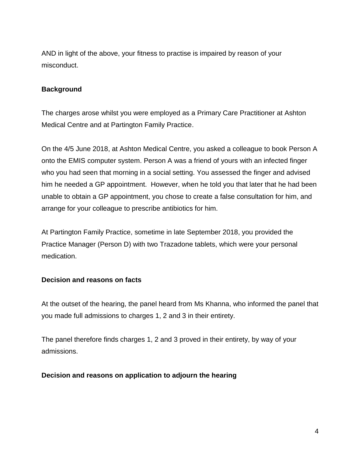AND in light of the above, your fitness to practise is impaired by reason of your misconduct.

#### **Background**

The charges arose whilst you were employed as a Primary Care Practitioner at Ashton Medical Centre and at Partington Family Practice.

On the 4/5 June 2018, at Ashton Medical Centre, you asked a colleague to book Person A onto the EMIS computer system. Person A was a friend of yours with an infected finger who you had seen that morning in a social setting. You assessed the finger and advised him he needed a GP appointment. However, when he told you that later that he had been unable to obtain a GP appointment, you chose to create a false consultation for him, and arrange for your colleague to prescribe antibiotics for him.

At Partington Family Practice, sometime in late September 2018, you provided the Practice Manager (Person D) with two Trazadone tablets, which were your personal medication.

#### **Decision and reasons on facts**

At the outset of the hearing, the panel heard from Ms Khanna, who informed the panel that you made full admissions to charges 1, 2 and 3 in their entirety.

The panel therefore finds charges 1, 2 and 3 proved in their entirety, by way of your admissions.

#### **Decision and reasons on application to adjourn the hearing**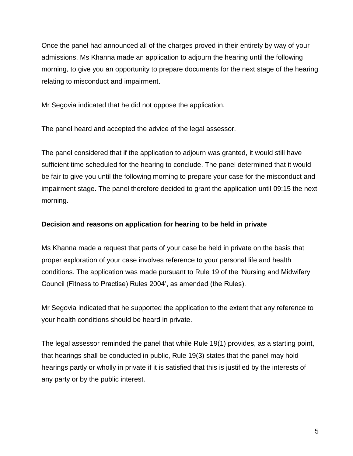Once the panel had announced all of the charges proved in their entirety by way of your admissions, Ms Khanna made an application to adjourn the hearing until the following morning, to give you an opportunity to prepare documents for the next stage of the hearing relating to misconduct and impairment.

Mr Segovia indicated that he did not oppose the application.

The panel heard and accepted the advice of the legal assessor.

The panel considered that if the application to adjourn was granted, it would still have sufficient time scheduled for the hearing to conclude. The panel determined that it would be fair to give you until the following morning to prepare your case for the misconduct and impairment stage. The panel therefore decided to grant the application until 09:15 the next morning.

## **Decision and reasons on application for hearing to be held in private**

Ms Khanna made a request that parts of your case be held in private on the basis that proper exploration of your case involves reference to your personal life and health conditions. The application was made pursuant to Rule 19 of the 'Nursing and Midwifery Council (Fitness to Practise) Rules 2004', as amended (the Rules).

Mr Segovia indicated that he supported the application to the extent that any reference to your health conditions should be heard in private.

The legal assessor reminded the panel that while Rule 19(1) provides, as a starting point, that hearings shall be conducted in public, Rule 19(3) states that the panel may hold hearings partly or wholly in private if it is satisfied that this is justified by the interests of any party or by the public interest.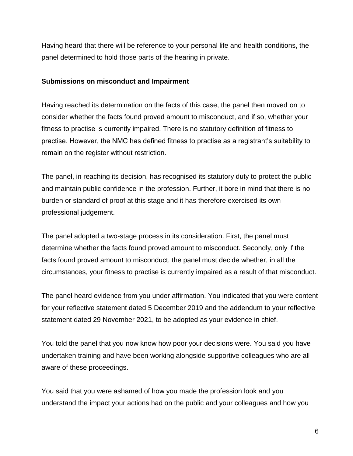Having heard that there will be reference to your personal life and health conditions, the panel determined to hold those parts of the hearing in private.

#### **Submissions on misconduct and Impairment**

Having reached its determination on the facts of this case, the panel then moved on to consider whether the facts found proved amount to misconduct, and if so, whether your fitness to practise is currently impaired. There is no statutory definition of fitness to practise. However, the NMC has defined fitness to practise as a registrant's suitability to remain on the register without restriction.

The panel, in reaching its decision, has recognised its statutory duty to protect the public and maintain public confidence in the profession. Further, it bore in mind that there is no burden or standard of proof at this stage and it has therefore exercised its own professional judgement.

The panel adopted a two-stage process in its consideration. First, the panel must determine whether the facts found proved amount to misconduct. Secondly, only if the facts found proved amount to misconduct, the panel must decide whether, in all the circumstances, your fitness to practise is currently impaired as a result of that misconduct.

The panel heard evidence from you under affirmation. You indicated that you were content for your reflective statement dated 5 December 2019 and the addendum to your reflective statement dated 29 November 2021, to be adopted as your evidence in chief.

You told the panel that you now know how poor your decisions were. You said you have undertaken training and have been working alongside supportive colleagues who are all aware of these proceedings.

You said that you were ashamed of how you made the profession look and you understand the impact your actions had on the public and your colleagues and how you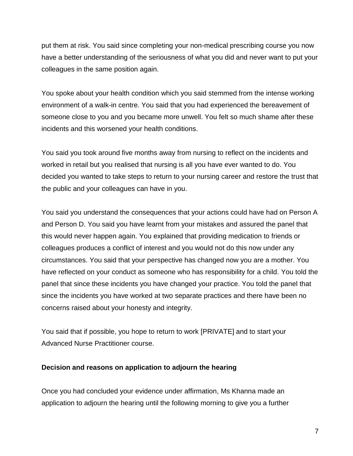put them at risk. You said since completing your non-medical prescribing course you now have a better understanding of the seriousness of what you did and never want to put your colleagues in the same position again.

You spoke about your health condition which you said stemmed from the intense working environment of a walk-in centre. You said that you had experienced the bereavement of someone close to you and you became more unwell. You felt so much shame after these incidents and this worsened your health conditions.

You said you took around five months away from nursing to reflect on the incidents and worked in retail but you realised that nursing is all you have ever wanted to do. You decided you wanted to take steps to return to your nursing career and restore the trust that the public and your colleagues can have in you.

You said you understand the consequences that your actions could have had on Person A and Person D. You said you have learnt from your mistakes and assured the panel that this would never happen again. You explained that providing medication to friends or colleagues produces a conflict of interest and you would not do this now under any circumstances. You said that your perspective has changed now you are a mother. You have reflected on your conduct as someone who has responsibility for a child. You told the panel that since these incidents you have changed your practice. You told the panel that since the incidents you have worked at two separate practices and there have been no concerns raised about your honesty and integrity.

You said that if possible, you hope to return to work [PRIVATE] and to start your Advanced Nurse Practitioner course.

#### **Decision and reasons on application to adjourn the hearing**

Once you had concluded your evidence under affirmation, Ms Khanna made an application to adjourn the hearing until the following morning to give you a further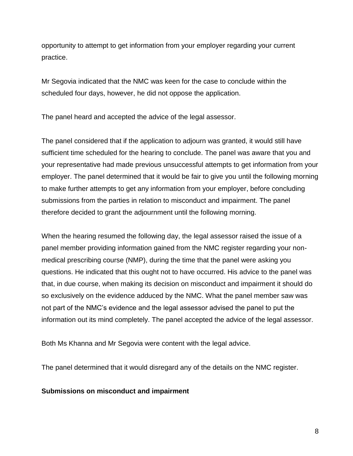opportunity to attempt to get information from your employer regarding your current practice.

Mr Segovia indicated that the NMC was keen for the case to conclude within the scheduled four days, however, he did not oppose the application.

The panel heard and accepted the advice of the legal assessor.

The panel considered that if the application to adjourn was granted, it would still have sufficient time scheduled for the hearing to conclude. The panel was aware that you and your representative had made previous unsuccessful attempts to get information from your employer. The panel determined that it would be fair to give you until the following morning to make further attempts to get any information from your employer, before concluding submissions from the parties in relation to misconduct and impairment. The panel therefore decided to grant the adjournment until the following morning.

When the hearing resumed the following day, the legal assessor raised the issue of a panel member providing information gained from the NMC register regarding your nonmedical prescribing course (NMP), during the time that the panel were asking you questions. He indicated that this ought not to have occurred. His advice to the panel was that, in due course, when making its decision on misconduct and impairment it should do so exclusively on the evidence adduced by the NMC. What the panel member saw was not part of the NMC's evidence and the legal assessor advised the panel to put the information out its mind completely. The panel accepted the advice of the legal assessor.

Both Ms Khanna and Mr Segovia were content with the legal advice.

The panel determined that it would disregard any of the details on the NMC register.

#### **Submissions on misconduct and impairment**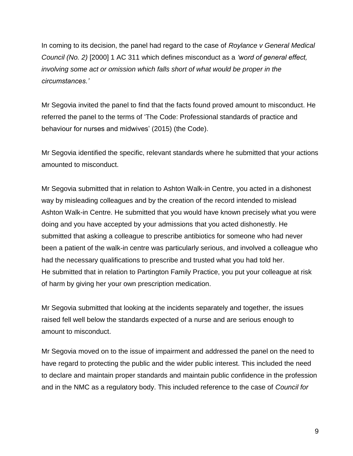In coming to its decision, the panel had regard to the case of *Roylance v General Medical Council (No. 2)* [2000] 1 AC 311 which defines misconduct as a *'word of general effect, involving some act or omission which falls short of what would be proper in the circumstances.'*

Mr Segovia invited the panel to find that the facts found proved amount to misconduct. He referred the panel to the terms of 'The Code: Professional standards of practice and behaviour for nurses and midwives' (2015) (the Code).

Mr Segovia identified the specific, relevant standards where he submitted that your actions amounted to misconduct.

Mr Segovia submitted that in relation to Ashton Walk-in Centre, you acted in a dishonest way by misleading colleagues and by the creation of the record intended to mislead Ashton Walk-in Centre. He submitted that you would have known precisely what you were doing and you have accepted by your admissions that you acted dishonestly. He submitted that asking a colleague to prescribe antibiotics for someone who had never been a patient of the walk-in centre was particularly serious, and involved a colleague who had the necessary qualifications to prescribe and trusted what you had told her. He submitted that in relation to Partington Family Practice, you put your colleague at risk of harm by giving her your own prescription medication.

Mr Segovia submitted that looking at the incidents separately and together, the issues raised fell well below the standards expected of a nurse and are serious enough to amount to misconduct.

Mr Segovia moved on to the issue of impairment and addressed the panel on the need to have regard to protecting the public and the wider public interest. This included the need to declare and maintain proper standards and maintain public confidence in the profession and in the NMC as a regulatory body. This included reference to the case of *Council for*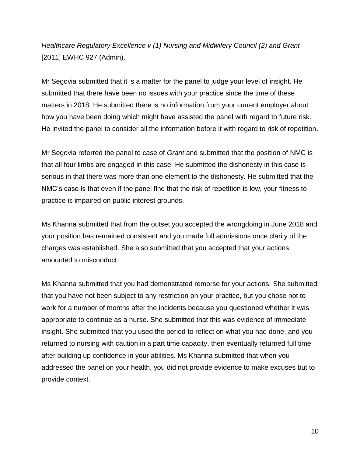*Healthcare Regulatory Excellence v (1) Nursing and Midwifery Council (2) and Grant*  [2011] EWHC 927 (Admin).

Mr Segovia submitted that it is a matter for the panel to judge your level of insight. He submitted that there have been no issues with your practice since the time of these matters in 2018. He submitted there is no information from your current employer about how you have been doing which might have assisted the panel with regard to future risk. He invited the panel to consider all the information before it with regard to risk of repetition.

Mr Segovia referred the panel to case of *Grant* and submitted that the position of NMC is that all four limbs are engaged in this case. He submitted the dishonesty in this case is serious in that there was more than one element to the dishonesty. He submitted that the NMC's case is that even if the panel find that the risk of repetition is low, your fitness to practice is impaired on public interest grounds.

Ms Khanna submitted that from the outset you accepted the wrongdoing in June 2018 and your position has remained consistent and you made full admissions once clarity of the charges was established. She also submitted that you accepted that your actions amounted to misconduct.

Ms Khanna submitted that you had demonstrated remorse for your actions. She submitted that you have not been subject to any restriction on your practice, but you chose not to work for a number of months after the incidents because you questioned whether it was appropriate to continue as a nurse. She submitted that this was evidence of immediate insight. She submitted that you used the period to reflect on what you had done, and you returned to nursing with caution in a part time capacity, then eventually returned full time after building up confidence in your abilities. Ms Khanna submitted that when you addressed the panel on your health, you did not provide evidence to make excuses but to provide context.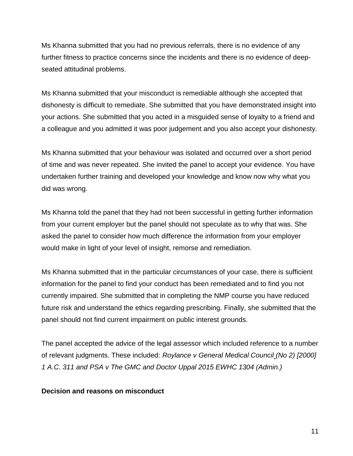Ms Khanna submitted that you had no previous referrals, there is no evidence of any further fitness to practice concerns since the incidents and there is no evidence of deepseated attitudinal problems.

Ms Khanna submitted that your misconduct is remediable although she accepted that dishonesty is difficult to remediate. She submitted that you have demonstrated insight into your actions. She submitted that you acted in a misguided sense of loyalty to a friend and a colleague and you admitted it was poor judgement and you also accept your dishonesty.

Ms Khanna submitted that your behaviour was isolated and occurred over a short period of time and was never repeated. She invited the panel to accept your evidence. You have undertaken further training and developed your knowledge and know now why what you did was wrong.

Ms Khanna told the panel that they had not been successful in getting further information from your current employer but the panel should not speculate as to why that was. She asked the panel to consider how much difference the information from your employer would make in light of your level of insight, remorse and remediation.

Ms Khanna submitted that in the particular circumstances of your case, there is sufficient information for the panel to find your conduct has been remediated and to find you not currently impaired. She submitted that in completing the NMP course you have reduced future risk and understand the ethics regarding prescribing. Finally, she submitted that the panel should not find current impairment on public interest grounds.

The panel accepted the advice of the legal assessor which included reference to a number of relevant judgments. These included: *Roylance v General Medical Council (No 2) [2000] 1 A.C. 311 and PSA v The GMC and Doctor Uppal 2015 EWHC 1304 (Admin.)*

#### **Decision and reasons on misconduct**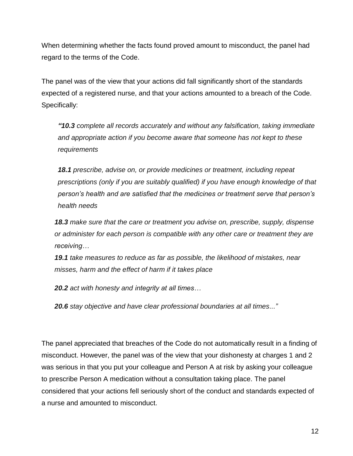When determining whether the facts found proved amount to misconduct, the panel had regard to the terms of the Code.

The panel was of the view that your actions did fall significantly short of the standards expected of a registered nurse, and that your actions amounted to a breach of the Code. Specifically:

*"10.3 complete all records accurately and without any falsification, taking immediate and appropriate action if you become aware that someone has not kept to these requirements*

*18.1 prescribe, advise on, or provide medicines or treatment, including repeat prescriptions (only if you are suitably qualified) if you have enough knowledge of that person's health and are satisfied that the medicines or treatment serve that person's health needs*

*18.3 make sure that the care or treatment you advise on, prescribe, supply, dispense or administer for each person is compatible with any other care or treatment they are receiving…*

*19.1 take measures to reduce as far as possible, the likelihood of mistakes, near misses, harm and the effect of harm if it takes place*

*20.2 act with honesty and integrity at all times…*

*20.6 stay objective and have clear professional boundaries at all times..."*

The panel appreciated that breaches of the Code do not automatically result in a finding of misconduct. However, the panel was of the view that your dishonesty at charges 1 and 2 was serious in that you put your colleague and Person A at risk by asking your colleague to prescribe Person A medication without a consultation taking place. The panel considered that your actions fell seriously short of the conduct and standards expected of a nurse and amounted to misconduct.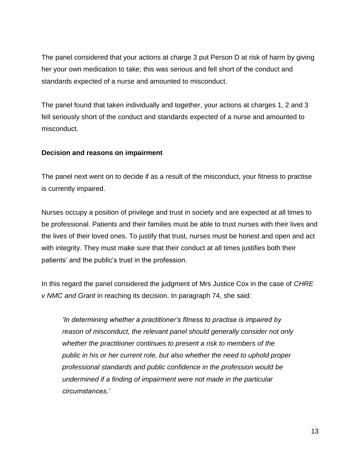The panel considered that your actions at charge 3 put Person D at risk of harm by giving her your own medication to take; this was serious and fell short of the conduct and standards expected of a nurse and amounted to misconduct.

The panel found that taken individually and together, your actions at charges 1, 2 and 3 fell seriously short of the conduct and standards expected of a nurse and amounted to misconduct.

### **Decision and reasons on impairment**

The panel next went on to decide if as a result of the misconduct, your fitness to practise is currently impaired.

Nurses occupy a position of privilege and trust in society and are expected at all times to be professional. Patients and their families must be able to trust nurses with their lives and the lives of their loved ones. To justify that trust, nurses must be honest and open and act with integrity. They must make sure that their conduct at all times justifies both their patients' and the public's trust in the profession.

In this regard the panel considered the judgment of Mrs Justice Cox in the case of *CHRE v NMC and Grant* in reaching its decision. In paragraph 74, she said:

*'In determining whether a practitioner's fitness to practise is impaired by reason of misconduct, the relevant panel should generally consider not only whether the practitioner continues to present a risk to members of the public in his or her current role, but also whether the need to uphold proper professional standards and public confidence in the profession would be undermined if a finding of impairment were not made in the particular circumstances.'*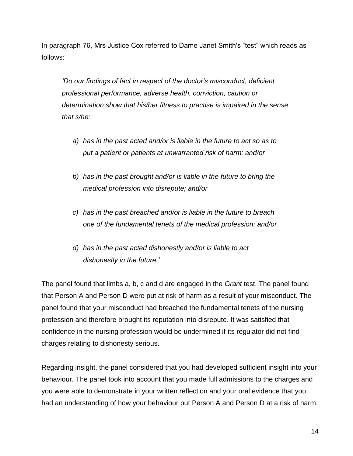In paragraph 76, Mrs Justice Cox referred to Dame Janet Smith's "test" which reads as follows:

*'Do our findings of fact in respect of the doctor's misconduct, deficient professional performance, adverse health, conviction, caution or determination show that his/her fitness to practise is impaired in the sense that s/he:*

- *a) has in the past acted and/or is liable in the future to act so as to put a patient or patients at unwarranted risk of harm; and/or*
- *b) has in the past brought and/or is liable in the future to bring the medical profession into disrepute; and/or*
- *c) has in the past breached and/or is liable in the future to breach one of the fundamental tenets of the medical profession; and/or*
- *d) has in the past acted dishonestly and/or is liable to act dishonestly in the future.'*

The panel found that limbs a, b, c and d are engaged in the *Grant* test. The panel found that Person A and Person D were put at risk of harm as a result of your misconduct. The panel found that your misconduct had breached the fundamental tenets of the nursing profession and therefore brought its reputation into disrepute. It was satisfied that confidence in the nursing profession would be undermined if its regulator did not find charges relating to dishonesty serious.

Regarding insight, the panel considered that you had developed sufficient insight into your behaviour. The panel took into account that you made full admissions to the charges and you were able to demonstrate in your written reflection and your oral evidence that you had an understanding of how your behaviour put Person A and Person D at a risk of harm.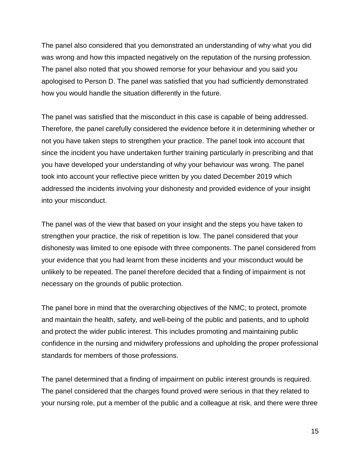The panel also considered that you demonstrated an understanding of why what you did was wrong and how this impacted negatively on the reputation of the nursing profession. The panel also noted that you showed remorse for your behaviour and you said you apologised to Person D. The panel was satisfied that you had sufficiently demonstrated how you would handle the situation differently in the future.

The panel was satisfied that the misconduct in this case is capable of being addressed. Therefore, the panel carefully considered the evidence before it in determining whether or not you have taken steps to strengthen your practice. The panel took into account that since the incident you have undertaken further training particularly in prescribing and that you have developed your understanding of why your behaviour was wrong. The panel took into account your reflective piece written by you dated December 2019 which addressed the incidents involving your dishonesty and provided evidence of your insight into your misconduct.

The panel was of the view that based on your insight and the steps you have taken to strengthen your practice, the risk of repetition is low. The panel considered that your dishonesty was limited to one episode with three components. The panel considered from your evidence that you had learnt from these incidents and your misconduct would be unlikely to be repeated. The panel therefore decided that a finding of impairment is not necessary on the grounds of public protection.

The panel bore in mind that the overarching objectives of the NMC; to protect, promote and maintain the health, safety, and well-being of the public and patients, and to uphold and protect the wider public interest. This includes promoting and maintaining public confidence in the nursing and midwifery professions and upholding the proper professional standards for members of those professions.

The panel determined that a finding of impairment on public interest grounds is required. The panel considered that the charges found proved were serious in that they related to your nursing role, put a member of the public and a colleague at risk, and there were three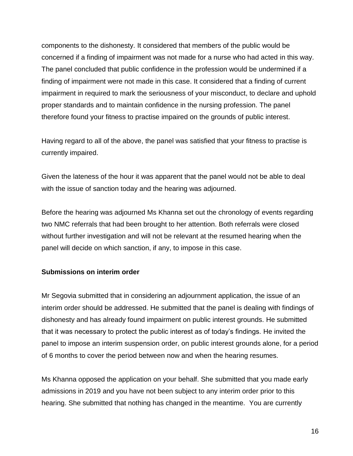components to the dishonesty. It considered that members of the public would be concerned if a finding of impairment was not made for a nurse who had acted in this way. The panel concluded that public confidence in the profession would be undermined if a finding of impairment were not made in this case. It considered that a finding of current impairment in required to mark the seriousness of your misconduct, to declare and uphold proper standards and to maintain confidence in the nursing profession. The panel therefore found your fitness to practise impaired on the grounds of public interest.

Having regard to all of the above, the panel was satisfied that your fitness to practise is currently impaired.

Given the lateness of the hour it was apparent that the panel would not be able to deal with the issue of sanction today and the hearing was adjourned.

Before the hearing was adjourned Ms Khanna set out the chronology of events regarding two NMC referrals that had been brought to her attention. Both referrals were closed without further investigation and will not be relevant at the resumed hearing when the panel will decide on which sanction, if any, to impose in this case.

#### **Submissions on interim order**

Mr Segovia submitted that in considering an adjournment application, the issue of an interim order should be addressed. He submitted that the panel is dealing with findings of dishonesty and has already found impairment on public interest grounds. He submitted that it was necessary to protect the public interest as of today's findings. He invited the panel to impose an interim suspension order, on public interest grounds alone, for a period of 6 months to cover the period between now and when the hearing resumes.

Ms Khanna opposed the application on your behalf. She submitted that you made early admissions in 2019 and you have not been subject to any interim order prior to this hearing. She submitted that nothing has changed in the meantime. You are currently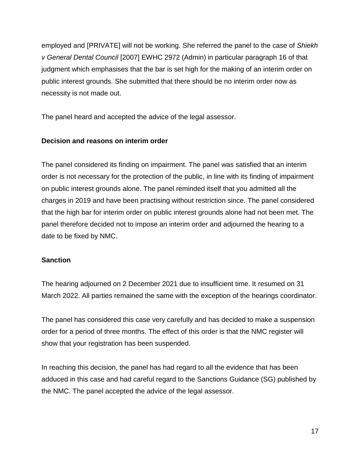employed and [PRIVATE] will not be working. She referred the panel to the case of *Shiekh v General Dental Council* [2007] EWHC 2972 (Admin) in particular paragraph 16 of that judgment which emphasises that the bar is set high for the making of an interim order on public interest grounds. She submitted that there should be no interim order now as necessity is not made out.

The panel heard and accepted the advice of the legal assessor.

## **Decision and reasons on interim order**

The panel considered its finding on impairment. The panel was satisfied that an interim order is not necessary for the protection of the public, in line with its finding of impairment on public interest grounds alone. The panel reminded itself that you admitted all the charges in 2019 and have been practising without restriction since. The panel considered that the high bar for interim order on public interest grounds alone had not been met. The panel therefore decided not to impose an interim order and adjourned the hearing to a date to be fixed by NMC.

## **Sanction**

The hearing adjourned on 2 December 2021 due to insufficient time. It resumed on 31 March 2022. All parties remained the same with the exception of the hearings coordinator.

The panel has considered this case very carefully and has decided to make a suspension order for a period of three months. The effect of this order is that the NMC register will show that your registration has been suspended.

In reaching this decision, the panel has had regard to all the evidence that has been adduced in this case and had careful regard to the Sanctions Guidance (SG) published by the NMC. The panel accepted the advice of the legal assessor.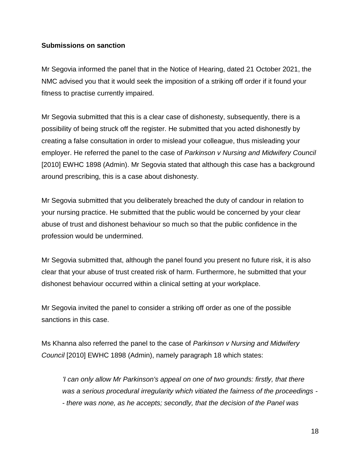#### **Submissions on sanction**

Mr Segovia informed the panel that in the Notice of Hearing, dated 21 October 2021, the NMC advised you that it would seek the imposition of a striking off order if it found your fitness to practise currently impaired.

Mr Segovia submitted that this is a clear case of dishonesty, subsequently, there is a possibility of being struck off the register. He submitted that you acted dishonestly by creating a false consultation in order to mislead your colleague, thus misleading your employer. He referred the panel to the case of *Parkinson v Nursing and Midwifery Council* [2010] EWHC 1898 (Admin). Mr Segovia stated that although this case has a background around prescribing, this is a case about dishonesty.

Mr Segovia submitted that you deliberately breached the duty of candour in relation to your nursing practice. He submitted that the public would be concerned by your clear abuse of trust and dishonest behaviour so much so that the public confidence in the profession would be undermined.

Mr Segovia submitted that, although the panel found you present no future risk, it is also clear that your abuse of trust created risk of harm. Furthermore, he submitted that your dishonest behaviour occurred within a clinical setting at your workplace.

Mr Segovia invited the panel to consider a striking off order as one of the possible sanctions in this case.

Ms Khanna also referred the panel to the case of *Parkinson v Nursing and Midwifery Council* [2010] EWHC 1898 (Admin), namely paragraph 18 which states:

*'I can only allow Mr Parkinson's appeal on one of two grounds: firstly, that there was a serious procedural irregularity which vitiated the fairness of the proceedings - - there was none, as he accepts; secondly, that the decision of the Panel was*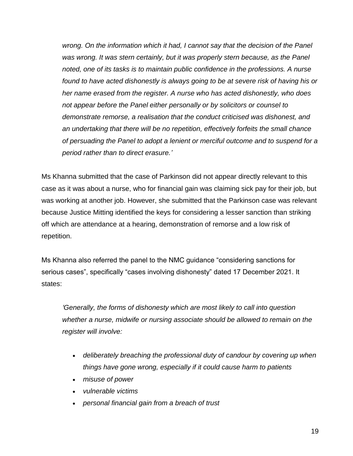*wrong. On the information which it had, I cannot say that the decision of the Panel*  was wrong. It was stern certainly, but it was properly stern because, as the Panel *noted, one of its tasks is to maintain public confidence in the professions. A nurse found to have acted dishonestly is always going to be at severe risk of having his or her name erased from the register. A nurse who has acted dishonestly, who does not appear before the Panel either personally or by solicitors or counsel to demonstrate remorse, a realisation that the conduct criticised was dishonest, and an undertaking that there will be no repetition, effectively forfeits the small chance of persuading the Panel to adopt a lenient or merciful outcome and to suspend for a period rather than to direct erasure.'*

Ms Khanna submitted that the case of Parkinson did not appear directly relevant to this case as it was about a nurse, who for financial gain was claiming sick pay for their job, but was working at another job. However, she submitted that the Parkinson case was relevant because Justice Mitting identified the keys for considering a lesser sanction than striking off which are attendance at a hearing, demonstration of remorse and a low risk of repetition.

Ms Khanna also referred the panel to the NMC guidance "considering sanctions for serious cases", specifically "cases involving dishonesty" dated 17 December 2021. It states:

*'Generally, the forms of dishonesty which are most likely to call into question whether a nurse, midwife or nursing associate should be allowed to remain on the register will involve:*

- *deliberately breaching the professional duty of candour by covering up when things have gone wrong, especially if it could cause harm to patients*
- *misuse of power*
- *vulnerable victims*
- *personal financial gain from a breach of trust*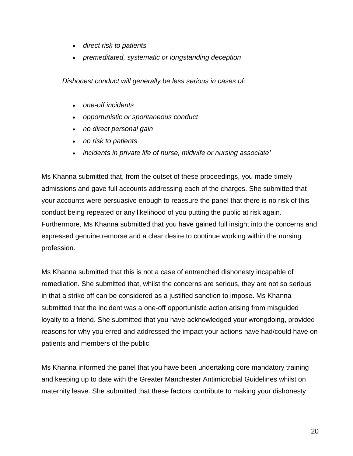- *direct risk to patients*
- *premeditated, systematic or longstanding deception*

*Dishonest conduct will generally be less serious in cases of:*

- *one-off incidents*
- *opportunistic or spontaneous conduct*
- *no direct personal gain*
- *no risk to patients*
- *incidents in private life of nurse, midwife or nursing associate'*

Ms Khanna submitted that, from the outset of these proceedings, you made timely admissions and gave full accounts addressing each of the charges. She submitted that your accounts were persuasive enough to reassure the panel that there is no risk of this conduct being repeated or any likelihood of you putting the public at risk again. Furthermore, Ms Khanna submitted that you have gained full insight into the concerns and expressed genuine remorse and a clear desire to continue working within the nursing profession.

Ms Khanna submitted that this is not a case of entrenched dishonesty incapable of remediation. She submitted that, whilst the concerns are serious, they are not so serious in that a strike off can be considered as a justified sanction to impose. Ms Khanna submitted that the incident was a one-off opportunistic action arising from misguided loyalty to a friend. She submitted that you have acknowledged your wrongdoing, provided reasons for why you erred and addressed the impact your actions have had/could have on patients and members of the public.

Ms Khanna informed the panel that you have been undertaking core mandatory training and keeping up to date with the Greater Manchester Antimicrobial Guidelines whilst on maternity leave. She submitted that these factors contribute to making your dishonesty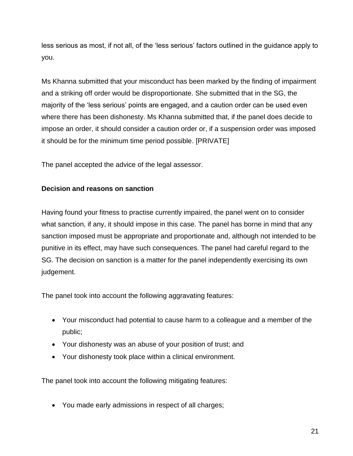less serious as most, if not all, of the 'less serious' factors outlined in the guidance apply to you.

Ms Khanna submitted that your misconduct has been marked by the finding of impairment and a striking off order would be disproportionate. She submitted that in the SG, the majority of the 'less serious' points are engaged, and a caution order can be used even where there has been dishonesty. Ms Khanna submitted that, if the panel does decide to impose an order, it should consider a caution order or, if a suspension order was imposed it should be for the minimum time period possible. [PRIVATE]

The panel accepted the advice of the legal assessor.

## **Decision and reasons on sanction**

Having found your fitness to practise currently impaired, the panel went on to consider what sanction, if any, it should impose in this case. The panel has borne in mind that any sanction imposed must be appropriate and proportionate and, although not intended to be punitive in its effect, may have such consequences. The panel had careful regard to the SG. The decision on sanction is a matter for the panel independently exercising its own judgement.

The panel took into account the following aggravating features:

- Your misconduct had potential to cause harm to a colleague and a member of the public;
- Your dishonesty was an abuse of your position of trust; and
- Your dishonesty took place within a clinical environment.

The panel took into account the following mitigating features:

You made early admissions in respect of all charges;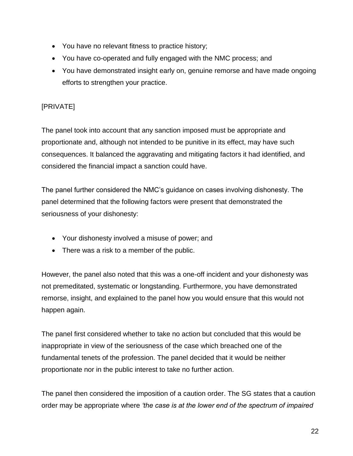- You have no relevant fitness to practice history;
- You have co-operated and fully engaged with the NMC process; and
- You have demonstrated insight early on, genuine remorse and have made ongoing efforts to strengthen your practice.

# [PRIVATE]

The panel took into account that any sanction imposed must be appropriate and proportionate and, although not intended to be punitive in its effect, may have such consequences. It balanced the aggravating and mitigating factors it had identified, and considered the financial impact a sanction could have.

The panel further considered the NMC's guidance on cases involving dishonesty. The panel determined that the following factors were present that demonstrated the seriousness of your dishonesty:

- Your dishonesty involved a misuse of power; and
- There was a risk to a member of the public.

However, the panel also noted that this was a one-off incident and your dishonesty was not premeditated, systematic or longstanding. Furthermore, you have demonstrated remorse, insight, and explained to the panel how you would ensure that this would not happen again.

The panel first considered whether to take no action but concluded that this would be inappropriate in view of the seriousness of the case which breached one of the fundamental tenets of the profession. The panel decided that it would be neither proportionate nor in the public interest to take no further action.

The panel then considered the imposition of a caution order. The SG states that a caution order may be appropriate where *'the case is at the lower end of the spectrum of impaired*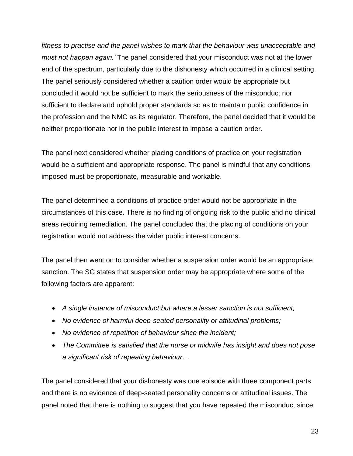*fitness to practise and the panel wishes to mark that the behaviour was unacceptable and must not happen again.'* The panel considered that your misconduct was not at the lower end of the spectrum, particularly due to the dishonesty which occurred in a clinical setting. The panel seriously considered whether a caution order would be appropriate but concluded it would not be sufficient to mark the seriousness of the misconduct nor sufficient to declare and uphold proper standards so as to maintain public confidence in the profession and the NMC as its regulator. Therefore, the panel decided that it would be neither proportionate nor in the public interest to impose a caution order.

The panel next considered whether placing conditions of practice on your registration would be a sufficient and appropriate response. The panel is mindful that any conditions imposed must be proportionate, measurable and workable.

The panel determined a conditions of practice order would not be appropriate in the circumstances of this case. There is no finding of ongoing risk to the public and no clinical areas requiring remediation. The panel concluded that the placing of conditions on your registration would not address the wider public interest concerns.

The panel then went on to consider whether a suspension order would be an appropriate sanction. The SG states that suspension order may be appropriate where some of the following factors are apparent:

- *A single instance of misconduct but where a lesser sanction is not sufficient;*
- *No evidence of harmful deep-seated personality or attitudinal problems;*
- *No evidence of repetition of behaviour since the incident;*
- *The Committee is satisfied that the nurse or midwife has insight and does not pose a significant risk of repeating behaviour…*

The panel considered that your dishonesty was one episode with three component parts and there is no evidence of deep-seated personality concerns or attitudinal issues. The panel noted that there is nothing to suggest that you have repeated the misconduct since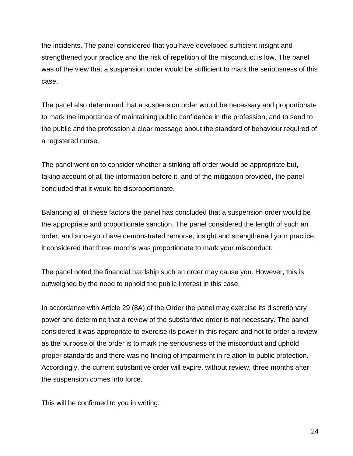the incidents. The panel considered that you have developed sufficient insight and strengthened your practice and the risk of repetition of the misconduct is low. The panel was of the view that a suspension order would be sufficient to mark the seriousness of this case.

The panel also determined that a suspension order would be necessary and proportionate to mark the importance of maintaining public confidence in the profession, and to send to the public and the profession a clear message about the standard of behaviour required of a registered nurse.

The panel went on to consider whether a striking-off order would be appropriate but, taking account of all the information before it, and of the mitigation provided, the panel concluded that it would be disproportionate.

Balancing all of these factors the panel has concluded that a suspension order would be the appropriate and proportionate sanction. The panel considered the length of such an order, and since you have demonstrated remorse, insight and strengthened your practice, it considered that three months was proportionate to mark your misconduct.

The panel noted the financial hardship such an order may cause you. However, this is outweighed by the need to uphold the public interest in this case.

In accordance with Article 29 (8A) of the Order the panel may exercise its discretionary power and determine that a review of the substantive order is not necessary. The panel considered it was appropriate to exercise its power in this regard and not to order a review as the purpose of the order is to mark the seriousness of the misconduct and uphold proper standards and there was no finding of impairment in relation to public protection. Accordingly, the current substantive order will expire, without review, three months after the suspension comes into force.

This will be confirmed to you in writing.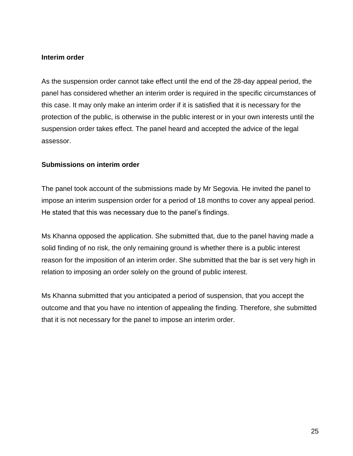#### **Interim order**

As the suspension order cannot take effect until the end of the 28-day appeal period, the panel has considered whether an interim order is required in the specific circumstances of this case. It may only make an interim order if it is satisfied that it is necessary for the protection of the public, is otherwise in the public interest or in your own interests until the suspension order takes effect. The panel heard and accepted the advice of the legal assessor.

#### **Submissions on interim order**

The panel took account of the submissions made by Mr Segovia. He invited the panel to impose an interim suspension order for a period of 18 months to cover any appeal period. He stated that this was necessary due to the panel's findings.

Ms Khanna opposed the application. She submitted that, due to the panel having made a solid finding of no risk, the only remaining ground is whether there is a public interest reason for the imposition of an interim order. She submitted that the bar is set very high in relation to imposing an order solely on the ground of public interest.

Ms Khanna submitted that you anticipated a period of suspension, that you accept the outcome and that you have no intention of appealing the finding. Therefore, she submitted that it is not necessary for the panel to impose an interim order.